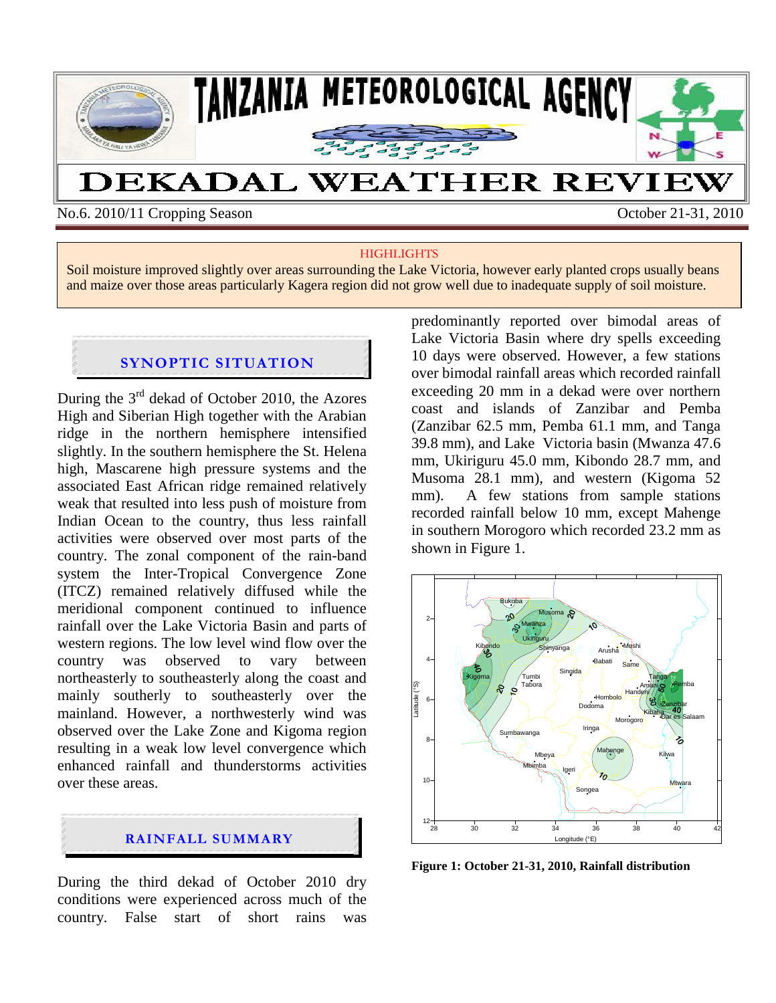

No.6. 2010/11 Cropping Season October 21-31, 2010

#### **HIGHLIGHTS**

Soil moisture improved slightly over areas surrounding the Lake Victoria, however early planted crops usually beans and maize over those areas particularly Kagera region did not grow well due to inadequate supply of soil moisture.

#### **SYNOPTIC SITUATION**

During the  $3<sup>rd</sup>$  dekad of October 2010, the Azores High and Siberian High together with the Arabian ridge in the northern hemisphere intensified slightly. In the southern hemisphere the St. Helena high, Mascarene high pressure systems and the associated East African ridge remained relatively weak that resulted into less push of moisture from Indian Ocean to the country, thus less rainfall activities were observed over most parts of the country. The zonal component of the rain-band system the Inter-Tropical Convergence Zone (ITCZ) remained relatively diffused while the meridional component continued to influence rainfall over the Lake Victoria Basin and parts of western regions. The low level wind flow over the country was observed to vary between northeasterly to southeasterly along the coast and mainly southerly to southeasterly over the mainland. However, a northwesterly wind was observed over the Lake Zone and Kigoma region resulting in a weak low level convergence which enhanced rainfall and thunderstorms activities over these areas.



During the third dekad of October 2010 dry conditions were experienced across much of the country. False start of short rains was predominantly reported over bimodal areas of Lake Victoria Basin where dry spells exceeding 10 days were observed. However, a few stations over bimodal rainfall areas which recorded rainfall exceeding 20 mm in a dekad were over northern coast and islands of Zanzibar and Pemba (Zanzibar 62.5 mm, Pemba 61.1 mm, and Tanga 39.8 mm), and Lake Victoria basin (Mwanza 47.6 mm, Ukiriguru 45.0 mm, Kibondo 28.7 mm, and Musoma 28.1 mm), and western (Kigoma 52 mm). A few stations from sample stations recorded rainfall below 10 mm, except Mahenge in southern Morogoro which recorded 23.2 mm as shown in Figure 1.



**Figure 1: October 21-31, 2010, Rainfall distribution**